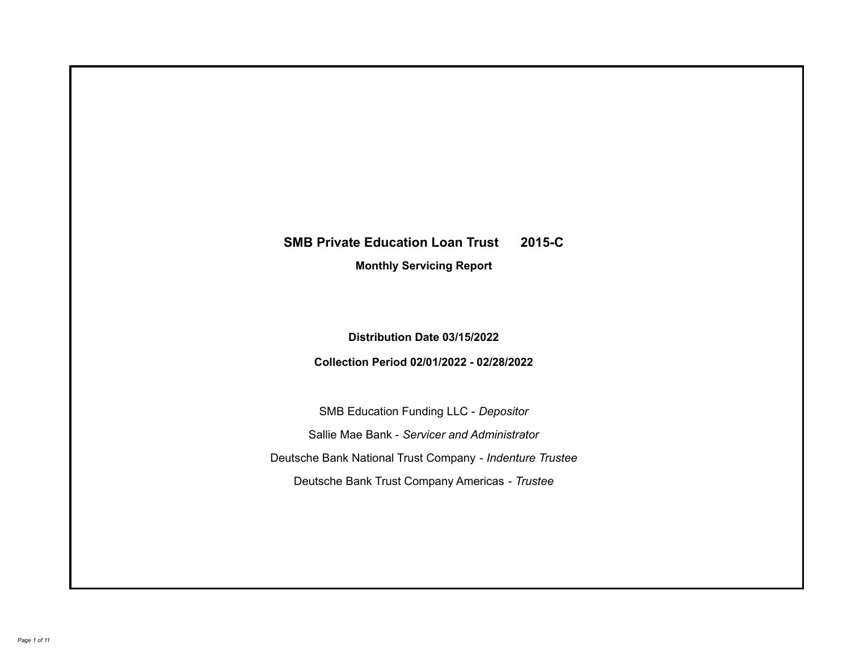# **SMB Private Education Loan Trust 2015-C**

**Monthly Servicing Report**

**Distribution Date 03/15/2022**

**Collection Period 02/01/2022 - 02/28/2022**

SMB Education Funding LLC - *Depositor* Sallie Mae Bank - *Servicer and Administrator* Deutsche Bank National Trust Company - *Indenture Trustee* Deutsche Bank Trust Company Americas - *Trustee*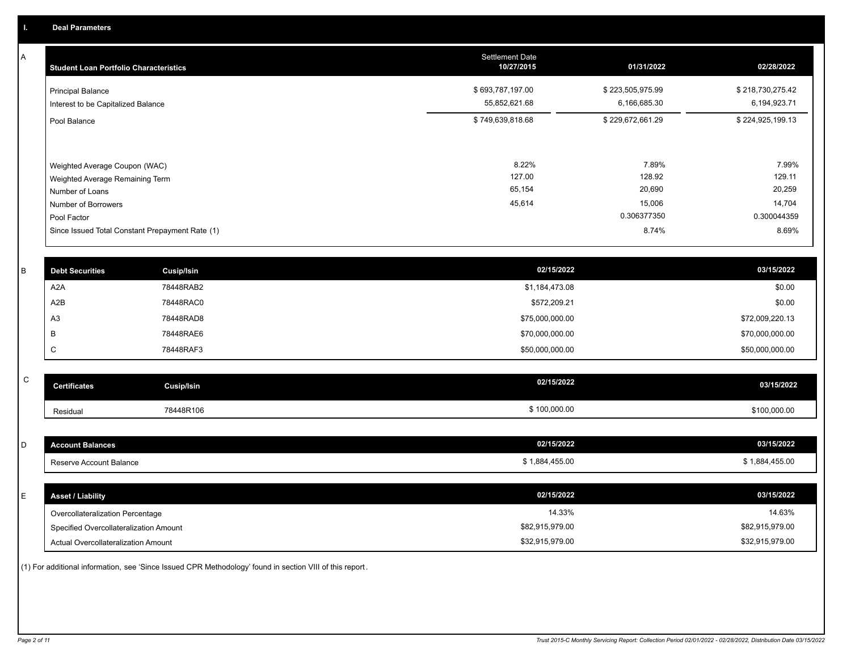A

| <b>Student Loan Portfolio Characteristics</b>                                                                             | <b>Settlement Date</b><br>10/27/2015 | 01/31/2022                                         | 02/28/2022                                         |
|---------------------------------------------------------------------------------------------------------------------------|--------------------------------------|----------------------------------------------------|----------------------------------------------------|
| <b>Principal Balance</b><br>Interest to be Capitalized Balance                                                            | \$693,787,197.00<br>55,852,621.68    | \$223,505,975.99<br>6,166,685.30                   | \$218,730,275.42<br>6,194,923.71                   |
| Pool Balance                                                                                                              | \$749,639,818.68                     | \$229,672,661.29                                   | \$224,925,199.13                                   |
| Weighted Average Coupon (WAC)<br>Weighted Average Remaining Term<br>Number of Loans<br>Number of Borrowers<br>Pool Factor | 8.22%<br>127.00<br>65,154<br>45,614  | 7.89%<br>128.92<br>20,690<br>15,006<br>0.306377350 | 7.99%<br>129.11<br>20,259<br>14,704<br>0.300044359 |
| Since Issued Total Constant Prepayment Rate (1)                                                                           |                                      | 8.74%                                              | 8.69%                                              |

| <b>Debt Securities</b> | Cusip/Isin | 02/15/2022      | 03/15/2022      |
|------------------------|------------|-----------------|-----------------|
| A2A                    | 78448RAB2  | \$1,184,473.08  | \$0.00          |
| A2B                    | 78448RAC0  | \$572,209.21    | \$0.00          |
| A <sub>3</sub>         | 78448RAD8  | \$75,000,000.00 | \$72,009,220.13 |
|                        | 78448RAE6  | \$70,000,000.00 | \$70,000,000.00 |
| ◡                      | 78448RAF3  | \$50,000,000.00 | \$50,000,000.00 |

| v<br>۰,     |
|-------------|
| ł<br>I<br>٦ |

| C                                |                                        | 02/15/2022      |                 |
|----------------------------------|----------------------------------------|-----------------|-----------------|
| <b>Certificates</b>              | <b>Cusip/Isin</b>                      |                 | 03/15/2022      |
| Residual                         | 78448R106                              | \$100,000.00    | \$100,000.00    |
|                                  |                                        |                 |                 |
| D<br><b>Account Balances</b>     |                                        | 02/15/2022      | 03/15/2022      |
| Reserve Account Balance          |                                        | \$1,884,455.00  | \$1,884,455.00  |
|                                  |                                        |                 |                 |
| E.<br><b>Asset / Liability</b>   |                                        | 02/15/2022      | 03/15/2022      |
| Overcollateralization Percentage |                                        | 14.33%          | 14.63%          |
|                                  | Specified Overcollateralization Amount | \$82,915,979.00 | \$82,915,979.00 |

(1) For additional information, see 'Since Issued CPR Methodology' found in section VIII of this report .

Actual Overcollateralization Amount \$32,915,979.00

\$32,915,979.00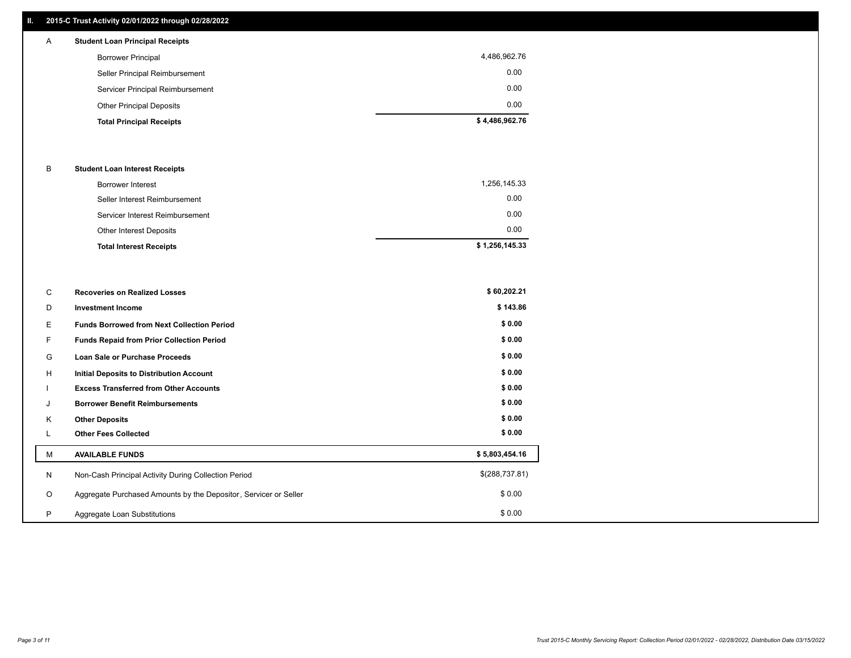# **II. 2015-C Trust Activity 02/01/2022 through 02/28/2022**

# A **Student Loan Principal Receipts**

| <b>Total Principal Receipts</b>  | \$4,486,962.76 |
|----------------------------------|----------------|
| <b>Other Principal Deposits</b>  | 0.00           |
| Servicer Principal Reimbursement | 0.00           |
| Seller Principal Reimbursement   | 0.00           |
| <b>Borrower Principal</b>        | 4,486,962.76   |
|                                  |                |

### B **Student Loan Interest Receipts**

| Borrower Interest               | 1,256,145.33   |
|---------------------------------|----------------|
| Seller Interest Reimbursement   | 0.00           |
| Servicer Interest Reimbursement | 0.00           |
| Other Interest Deposits         | 0.00           |
| <b>Total Interest Receipts</b>  | \$1,256,145.33 |

| C       | <b>Recoveries on Realized Losses</b>                             | \$60,202.21    |
|---------|------------------------------------------------------------------|----------------|
| D       | <b>Investment Income</b>                                         | \$143.86       |
| Е       | <b>Funds Borrowed from Next Collection Period</b>                | \$0.00         |
| F.      | Funds Repaid from Prior Collection Period                        | \$0.00         |
| G       | Loan Sale or Purchase Proceeds                                   | \$0.00         |
| H       | <b>Initial Deposits to Distribution Account</b>                  | \$0.00         |
|         | <b>Excess Transferred from Other Accounts</b>                    | \$0.00         |
| J       | <b>Borrower Benefit Reimbursements</b>                           | \$0.00         |
| K       | <b>Other Deposits</b>                                            | \$0.00         |
|         | <b>Other Fees Collected</b>                                      | \$0.00         |
| M       | <b>AVAILABLE FUNDS</b>                                           | \$5,803,454.16 |
| N       | Non-Cash Principal Activity During Collection Period             | \$(288,737.81) |
| $\circ$ | Aggregate Purchased Amounts by the Depositor, Servicer or Seller | \$0.00         |
| P       | Aggregate Loan Substitutions                                     | \$0.00         |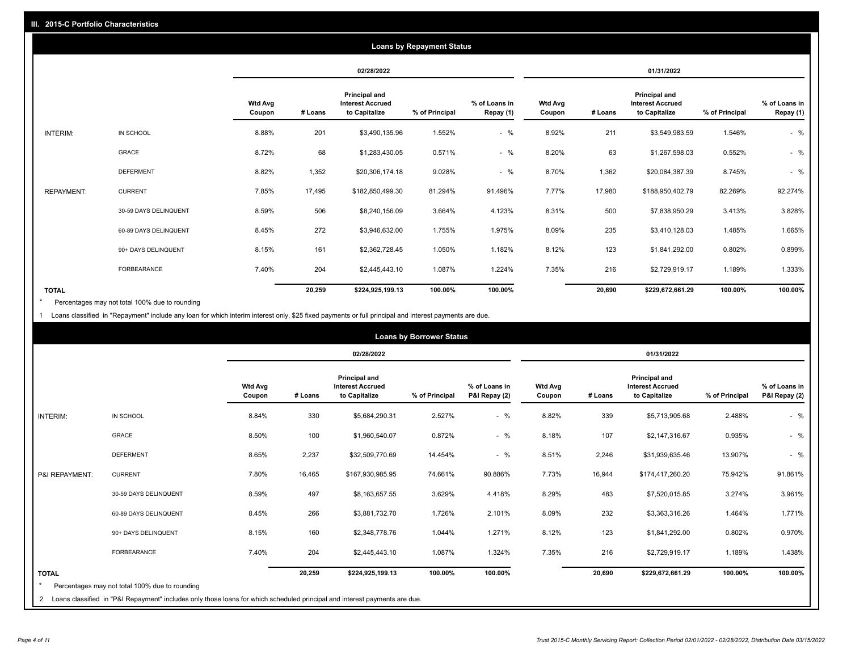| <b>Loans by Repayment Status</b> |                       |                          |            |                                                           |                |                            |                          |         |                                                           |                |                            |
|----------------------------------|-----------------------|--------------------------|------------|-----------------------------------------------------------|----------------|----------------------------|--------------------------|---------|-----------------------------------------------------------|----------------|----------------------------|
|                                  |                       |                          | 02/28/2022 |                                                           |                |                            | 01/31/2022               |         |                                                           |                |                            |
|                                  |                       | <b>Wtd Avg</b><br>Coupon | # Loans    | Principal and<br><b>Interest Accrued</b><br>to Capitalize | % of Principal | % of Loans in<br>Repay (1) | <b>Wtd Avg</b><br>Coupon | # Loans | Principal and<br><b>Interest Accrued</b><br>to Capitalize | % of Principal | % of Loans in<br>Repay (1) |
| INTERIM:                         | IN SCHOOL             | 8.88%                    | 201        | \$3,490,135.96                                            | 1.552%         | $-$ %                      | 8.92%                    | 211     | \$3,549,983.59                                            | 1.546%         | $-$ %                      |
|                                  | GRACE                 | 8.72%                    | 68         | \$1,283,430.05                                            | 0.571%         | $-$ %                      | 8.20%                    | 63      | \$1,267,598.03                                            | 0.552%         | $-$ %                      |
|                                  | <b>DEFERMENT</b>      | 8.82%                    | 1,352      | \$20,306,174.18                                           | 9.028%         | $-$ %                      | 8.70%                    | 1,362   | \$20,084,387.39                                           | 8.745%         | $-$ %                      |
| <b>REPAYMENT:</b>                | <b>CURRENT</b>        | 7.85%                    | 17,495     | \$182,850,499.30                                          | 81.294%        | 91.496%                    | 7.77%                    | 17,980  | \$188,950,402.79                                          | 82.269%        | 92.274%                    |
|                                  | 30-59 DAYS DELINQUENT | 8.59%                    | 506        | \$8,240,156.09                                            | 3.664%         | 4.123%                     | 8.31%                    | 500     | \$7,838,950.29                                            | 3.413%         | 3.828%                     |
|                                  | 60-89 DAYS DELINQUENT | 8.45%                    | 272        | \$3,946,632.00                                            | 1.755%         | 1.975%                     | 8.09%                    | 235     | \$3,410,128.03                                            | 1.485%         | 1.665%                     |
|                                  | 90+ DAYS DELINQUENT   | 8.15%                    | 161        | \$2,362,728.45                                            | 1.050%         | 1.182%                     | 8.12%                    | 123     | \$1,841,292.00                                            | 0.802%         | 0.899%                     |
|                                  | <b>FORBEARANCE</b>    | 7.40%                    | 204        | \$2,445,443.10                                            | 1.087%         | 1.224%                     | 7.35%                    | 216     | \$2,729,919.17                                            | 1.189%         | 1.333%                     |
| <b>TOTAL</b>                     |                       |                          | 20,259     | \$224,925,199.13                                          | 100.00%        | 100.00%                    |                          | 20,690  | \$229,672,661.29                                          | 100.00%        | 100.00%                    |

Percentages may not total 100% due to rounding \*

1 Loans classified in "Repayment" include any loan for which interim interest only, \$25 fixed payments or full principal and interest payments are due.

|                         | <b>Loans by Borrower Status</b>                                                                                              |                          |            |                                                                  |                |                                |                          |            |                                                                  |                |                                |
|-------------------------|------------------------------------------------------------------------------------------------------------------------------|--------------------------|------------|------------------------------------------------------------------|----------------|--------------------------------|--------------------------|------------|------------------------------------------------------------------|----------------|--------------------------------|
|                         |                                                                                                                              |                          | 02/28/2022 |                                                                  |                |                                |                          | 01/31/2022 |                                                                  |                |                                |
|                         |                                                                                                                              | <b>Wtd Avg</b><br>Coupon | # Loans    | <b>Principal and</b><br><b>Interest Accrued</b><br>to Capitalize | % of Principal | % of Loans in<br>P&I Repay (2) | <b>Wtd Avg</b><br>Coupon | # Loans    | <b>Principal and</b><br><b>Interest Accrued</b><br>to Capitalize | % of Principal | % of Loans in<br>P&I Repay (2) |
| <b>INTERIM:</b>         | IN SCHOOL                                                                                                                    | 8.84%                    | 330        | \$5,684,290.31                                                   | 2.527%         | $-$ %                          | 8.82%                    | 339        | \$5,713,905.68                                                   | 2.488%         | $-$ %                          |
|                         | <b>GRACE</b>                                                                                                                 | 8.50%                    | 100        | \$1,960,540.07                                                   | 0.872%         | $-$ %                          | 8.18%                    | 107        | \$2,147,316.67                                                   | 0.935%         | $-$ %                          |
|                         | <b>DEFERMENT</b>                                                                                                             | 8.65%                    | 2,237      | \$32,509,770.69                                                  | 14.454%        | $-$ %                          | 8.51%                    | 2,246      | \$31,939,635.46                                                  | 13.907%        | $-$ %                          |
| P&I REPAYMENT:          | <b>CURRENT</b>                                                                                                               | 7.80%                    | 16,465     | \$167,930,985.95                                                 | 74.661%        | 90.886%                        | 7.73%                    | 16,944     | \$174,417,260.20                                                 | 75.942%        | 91.861%                        |
|                         | 30-59 DAYS DELINQUENT                                                                                                        | 8.59%                    | 497        | \$8,163,657.55                                                   | 3.629%         | 4.418%                         | 8.29%                    | 483        | \$7,520,015.85                                                   | 3.274%         | 3.961%                         |
|                         | 60-89 DAYS DELINQUENT                                                                                                        | 8.45%                    | 266        | \$3,881,732.70                                                   | 1.726%         | 2.101%                         | 8.09%                    | 232        | \$3,363,316.26                                                   | 1.464%         | 1.771%                         |
|                         | 90+ DAYS DELINQUENT                                                                                                          | 8.15%                    | 160        | \$2,348,778.76                                                   | 1.044%         | 1.271%                         | 8.12%                    | 123        | \$1,841,292.00                                                   | 0.802%         | 0.970%                         |
|                         | FORBEARANCE                                                                                                                  | 7.40%                    | 204        | \$2,445,443.10                                                   | 1.087%         | 1.324%                         | 7.35%                    | 216        | \$2,729,919.17                                                   | 1.189%         | 1.438%                         |
| <b>TOTAL</b><br>$\star$ | Percentages may not total 100% due to rounding                                                                               |                          | 20,259     | \$224,925,199.13                                                 | 100.00%        | 100.00%                        |                          | 20,690     | \$229,672,661.29                                                 | 100.00%        | 100.00%                        |
|                         | 2 Loans classified in "P&I Repayment" includes only those loans for which scheduled principal and interest payments are due. |                          |            |                                                                  |                |                                |                          |            |                                                                  |                |                                |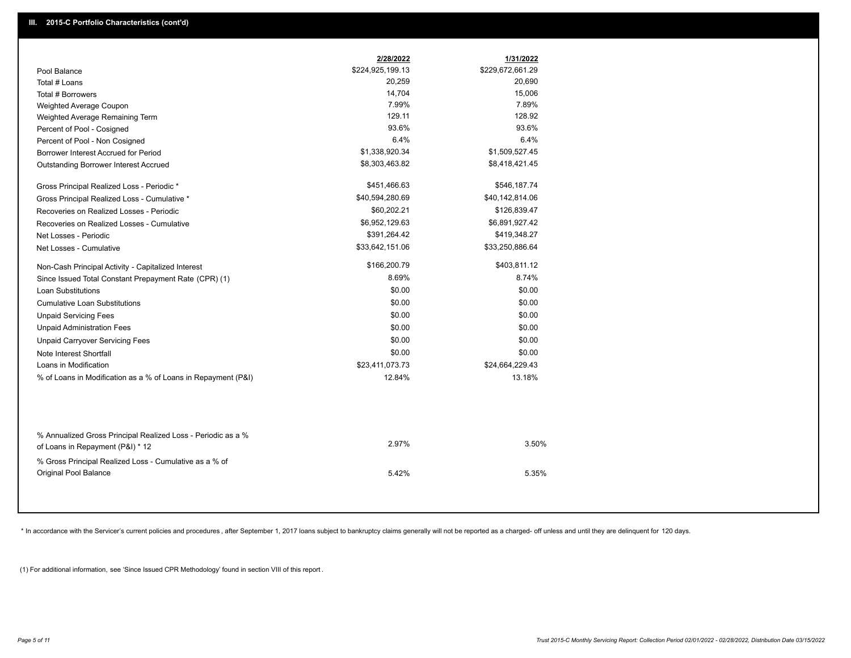|                                                               | 2/28/2022        | 1/31/2022        |
|---------------------------------------------------------------|------------------|------------------|
| Pool Balance                                                  | \$224,925,199.13 | \$229,672,661.29 |
| Total # Loans                                                 | 20,259           | 20,690           |
| Total # Borrowers                                             | 14,704           | 15,006           |
| Weighted Average Coupon                                       | 7.99%            | 7.89%            |
| Weighted Average Remaining Term                               | 129.11           | 128.92           |
| Percent of Pool - Cosigned                                    | 93.6%            | 93.6%            |
| Percent of Pool - Non Cosigned                                | 6.4%             | 6.4%             |
| Borrower Interest Accrued for Period                          | \$1,338,920.34   | \$1,509,527.45   |
| Outstanding Borrower Interest Accrued                         | \$8,303,463.82   | \$8,418,421.45   |
| Gross Principal Realized Loss - Periodic *                    | \$451,466.63     | \$546,187.74     |
| Gross Principal Realized Loss - Cumulative *                  | \$40,594,280.69  | \$40,142,814.06  |
| Recoveries on Realized Losses - Periodic                      | \$60,202.21      | \$126,839.47     |
| Recoveries on Realized Losses - Cumulative                    | \$6,952,129.63   | \$6,891,927.42   |
| Net Losses - Periodic                                         | \$391,264.42     | \$419,348.27     |
| Net Losses - Cumulative                                       | \$33,642,151.06  | \$33,250,886.64  |
| Non-Cash Principal Activity - Capitalized Interest            | \$166,200.79     | \$403,811.12     |
| Since Issued Total Constant Prepayment Rate (CPR) (1)         | 8.69%            | 8.74%            |
| <b>Loan Substitutions</b>                                     | \$0.00           | \$0.00           |
| <b>Cumulative Loan Substitutions</b>                          | \$0.00           | \$0.00           |
| <b>Unpaid Servicing Fees</b>                                  | \$0.00           | \$0.00           |
| <b>Unpaid Administration Fees</b>                             | \$0.00           | \$0.00           |
| <b>Unpaid Carryover Servicing Fees</b>                        | \$0.00           | \$0.00           |
| Note Interest Shortfall                                       | \$0.00           | \$0.00           |
| Loans in Modification                                         | \$23,411,073.73  | \$24,664,229.43  |
| % of Loans in Modification as a % of Loans in Repayment (P&I) | 12.84%           | 13.18%           |
|                                                               |                  |                  |
| % Annualized Gross Principal Realized Loss - Periodic as a %  | 2.97%            | 3.50%            |
| of Loans in Repayment (P&I) * 12                              |                  |                  |
| % Gross Principal Realized Loss - Cumulative as a % of        |                  |                  |
| Original Pool Balance                                         | 5.42%            | 5.35%            |

\* In accordance with the Servicer's current policies and procedures, after September 1, 2017 loans subject to bankruptcy claims generally will not be reported as a charged- off unless and until they are delinquent for 120

(1) For additional information, see 'Since Issued CPR Methodology' found in section VIII of this report .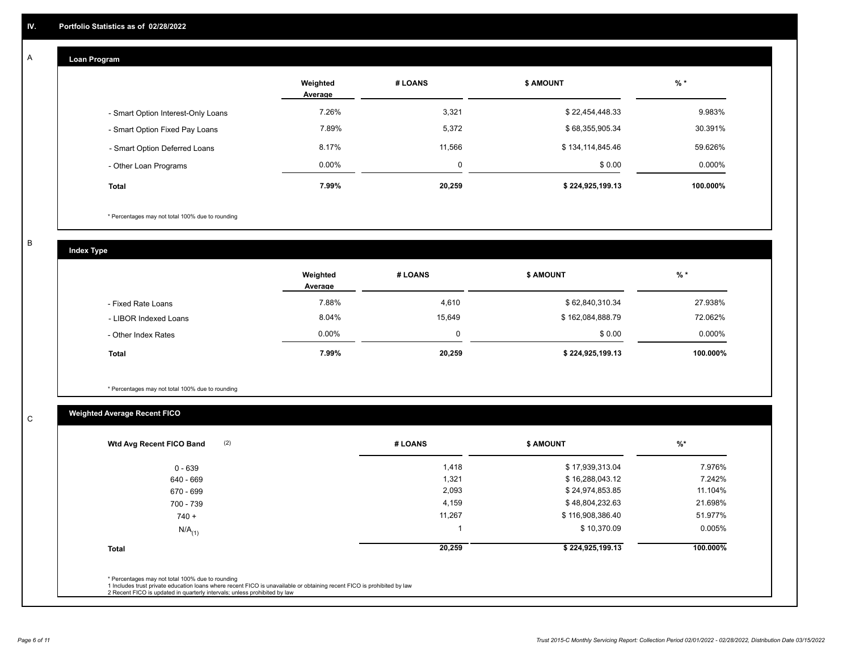#### **Loan Program**  A

|                                    | Weighted<br>Average | # LOANS | <b>\$ AMOUNT</b> | $%$ *     |
|------------------------------------|---------------------|---------|------------------|-----------|
| - Smart Option Interest-Only Loans | 7.26%               | 3,321   | \$22,454,448.33  | 9.983%    |
| - Smart Option Fixed Pay Loans     | 7.89%               | 5,372   | \$68,355,905.34  | 30.391%   |
| - Smart Option Deferred Loans      | 8.17%               | 11,566  | \$134,114,845.46 | 59.626%   |
| - Other Loan Programs              | $0.00\%$            | 0       | \$0.00           | $0.000\%$ |
| <b>Total</b>                       | 7.99%               | 20,259  | \$224,925,199.13 | 100.000%  |

\* Percentages may not total 100% due to rounding

B

C

**Index Type**

|                       | Weighted<br>Average | # LOANS | <b>\$ AMOUNT</b> | $%$ *     |
|-----------------------|---------------------|---------|------------------|-----------|
| - Fixed Rate Loans    | 7.88%               | 4,610   | \$62,840,310.34  | 27.938%   |
| - LIBOR Indexed Loans | 8.04%               | 15,649  | \$162,084,888.79 | 72.062%   |
| - Other Index Rates   | $0.00\%$            | 0       | \$0.00           | $0.000\%$ |
| Total                 | 7.99%               | 20,259  | \$224,925,199.13 | 100.000%  |

\* Percentages may not total 100% due to rounding

# **Weighted Average Recent FICO**

| 1,418<br>1,321<br>2,093<br>4,159 | \$17,939,313.04<br>\$16,288,043.12<br>\$24,974,853.85 | 7.976%<br>7.242%<br>11.104% |
|----------------------------------|-------------------------------------------------------|-----------------------------|
|                                  |                                                       |                             |
|                                  |                                                       |                             |
|                                  |                                                       |                             |
|                                  | \$48,804,232.63                                       | 21.698%                     |
| 11,267                           | \$116,908,386.40                                      | 51.977%                     |
|                                  | \$10,370.09                                           | 0.005%                      |
| 20,259                           | \$224,925,199.13                                      | 100.000%                    |
|                                  |                                                       |                             |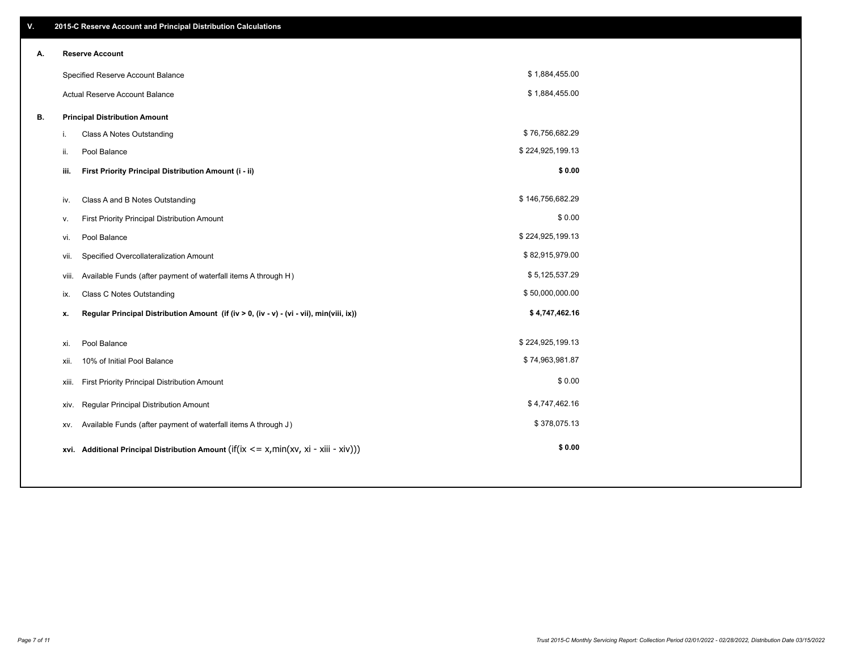| V. |       | 2015-C Reserve Account and Principal Distribution Calculations                              |                  |  |
|----|-------|---------------------------------------------------------------------------------------------|------------------|--|
| А. |       | <b>Reserve Account</b>                                                                      |                  |  |
|    |       | Specified Reserve Account Balance                                                           | \$1,884,455.00   |  |
|    |       | Actual Reserve Account Balance                                                              | \$1,884,455.00   |  |
| В. |       | <b>Principal Distribution Amount</b>                                                        |                  |  |
|    | i.    | Class A Notes Outstanding                                                                   | \$76,756,682.29  |  |
|    | ii.   | Pool Balance                                                                                | \$224,925,199.13 |  |
|    | iii.  | First Priority Principal Distribution Amount (i - ii)                                       | \$0.00           |  |
|    |       |                                                                                             |                  |  |
|    | iv.   | Class A and B Notes Outstanding                                                             | \$146,756,682.29 |  |
|    | v.    | First Priority Principal Distribution Amount                                                | \$0.00           |  |
|    | vi.   | Pool Balance                                                                                | \$224,925,199.13 |  |
|    | vii.  | Specified Overcollateralization Amount                                                      | \$82,915,979.00  |  |
|    | viii. | Available Funds (after payment of waterfall items A through H)                              | \$5,125,537.29   |  |
|    | ix.   | <b>Class C Notes Outstanding</b>                                                            | \$50,000,000.00  |  |
|    | х.    | Regular Principal Distribution Amount (if (iv > 0, (iv - v) - (vi - vii), min(viii, ix))    | \$4,747,462.16   |  |
|    |       |                                                                                             |                  |  |
|    | xi.   | Pool Balance                                                                                | \$224,925,199.13 |  |
|    | xii.  | 10% of Initial Pool Balance                                                                 | \$74,963,981.87  |  |
|    | xiii. | First Priority Principal Distribution Amount                                                | \$0.00           |  |
|    | xiv.  | Regular Principal Distribution Amount                                                       | \$4,747,462.16   |  |
|    | XV.   | Available Funds (after payment of waterfall items A through J)                              | \$378,075.13     |  |
|    |       | xvi. Additional Principal Distribution Amount (if(ix $\leq$ = x, min(xv, xi - xiii - xiv))) | \$0.00           |  |
|    |       |                                                                                             |                  |  |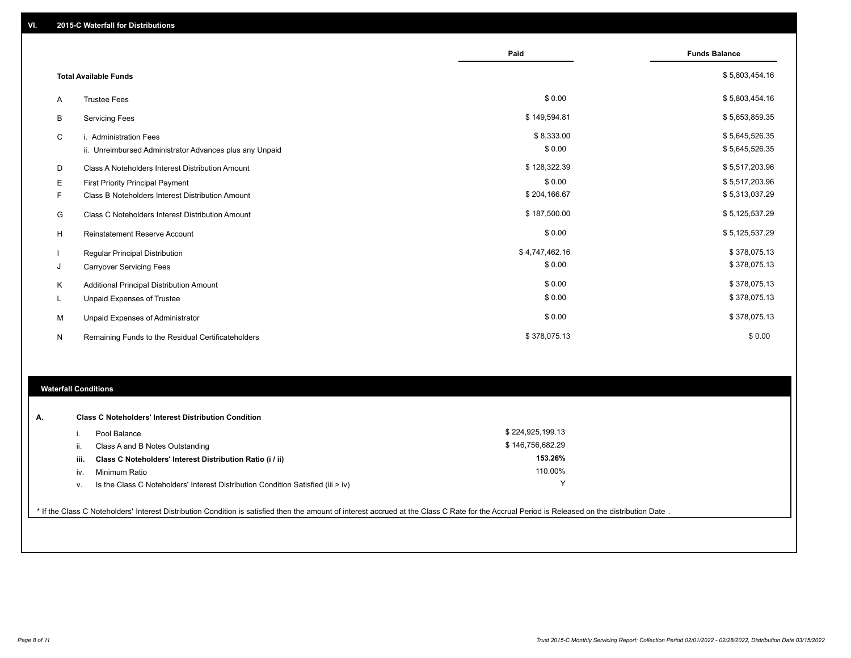|                |                                                         | Paid           | <b>Funds Balance</b> |
|----------------|---------------------------------------------------------|----------------|----------------------|
|                | <b>Total Available Funds</b>                            |                | \$5,803,454.16       |
| $\overline{A}$ | <b>Trustee Fees</b>                                     | \$0.00         | \$5,803,454.16       |
| В              | <b>Servicing Fees</b>                                   | \$149,594.81   | \$5,653,859.35       |
| C              | i. Administration Fees                                  | \$8,333.00     | \$5,645,526.35       |
|                | ii. Unreimbursed Administrator Advances plus any Unpaid | \$0.00         | \$5,645,526.35       |
| D              | Class A Noteholders Interest Distribution Amount        | \$128,322.39   | \$5,517,203.96       |
| Е              | <b>First Priority Principal Payment</b>                 | \$0.00         | \$5,517,203.96       |
| F              | Class B Noteholders Interest Distribution Amount        | \$204,166.67   | \$5,313,037.29       |
| G              | <b>Class C Noteholders Interest Distribution Amount</b> | \$187,500.00   | \$5,125,537.29       |
| н              | <b>Reinstatement Reserve Account</b>                    | \$0.00         | \$5,125,537.29       |
|                | Regular Principal Distribution                          | \$4,747,462.16 | \$378,075.13         |
| J              | <b>Carryover Servicing Fees</b>                         | \$0.00         | \$378,075.13         |
| K              | Additional Principal Distribution Amount                | \$0.00         | \$378,075.13         |
|                | <b>Unpaid Expenses of Trustee</b>                       | \$0.00         | \$378,075.13         |
| M              | Unpaid Expenses of Administrator                        | \$0.00         | \$378,075.13         |
| N              | Remaining Funds to the Residual Certificateholders      | \$378,075.13   | \$0.00               |

## **Waterfall Conditions**

| А. |      | <b>Class C Noteholders' Interest Distribution Condition</b>                        |                  |  |
|----|------|------------------------------------------------------------------------------------|------------------|--|
|    |      | Pool Balance                                                                       | \$224,925,199.13 |  |
|    | ш.   | Class A and B Notes Outstanding                                                    | \$146,756,682.29 |  |
|    | iii. | Class C Noteholders' Interest Distribution Ratio (i / ii)                          | 153.26%          |  |
|    | IV.  | Minimum Ratio                                                                      | 110.00%          |  |
|    | v.   | Is the Class C Noteholders' Interest Distribution Condition Satisfied (iii $>$ iv) | $\checkmark$     |  |
|    |      |                                                                                    |                  |  |

\* If the Class C Noteholders' Interest Distribution Condition is satisfied then the amount of interest accrued at the Class C Rate for the Accrual Period is Released on the distribution Date .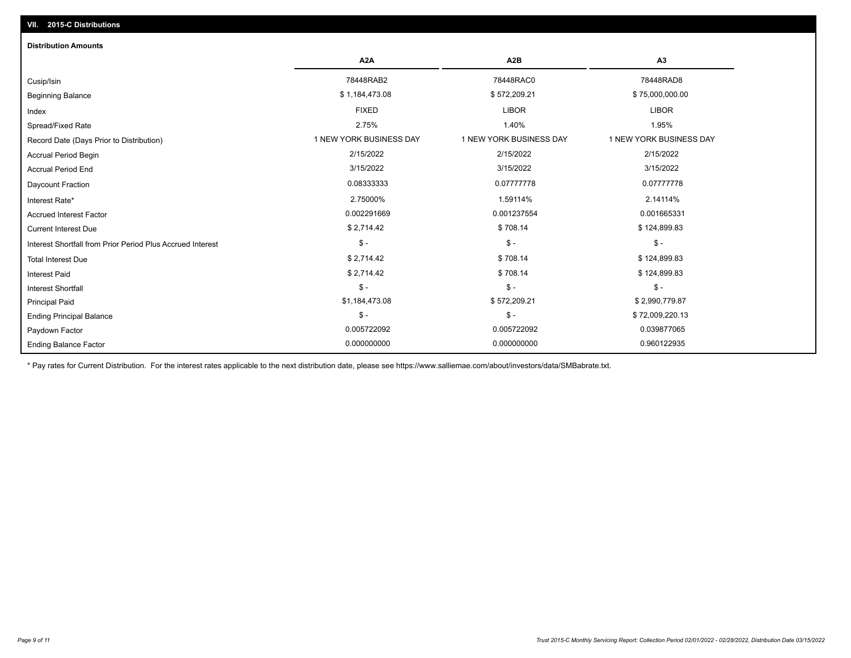| <b>Distribution Amounts</b>                                |                         |                         |                         |
|------------------------------------------------------------|-------------------------|-------------------------|-------------------------|
|                                                            | A <sub>2</sub> A        | A <sub>2</sub> B        | A3                      |
| Cusip/Isin                                                 | 78448RAB2               | 78448RAC0               | 78448RAD8               |
| <b>Beginning Balance</b>                                   | \$1,184,473.08          | \$572,209.21            | \$75,000,000.00         |
| Index                                                      | <b>FIXED</b>            | <b>LIBOR</b>            | <b>LIBOR</b>            |
| Spread/Fixed Rate                                          | 2.75%                   | 1.40%                   | 1.95%                   |
| Record Date (Days Prior to Distribution)                   | 1 NEW YORK BUSINESS DAY | 1 NEW YORK BUSINESS DAY | 1 NEW YORK BUSINESS DAY |
| <b>Accrual Period Begin</b>                                | 2/15/2022               | 2/15/2022               | 2/15/2022               |
| <b>Accrual Period End</b>                                  | 3/15/2022               | 3/15/2022               | 3/15/2022               |
| <b>Daycount Fraction</b>                                   | 0.08333333              | 0.07777778              | 0.07777778              |
| Interest Rate*                                             | 2.75000%                | 1.59114%                | 2.14114%                |
| <b>Accrued Interest Factor</b>                             | 0.002291669             | 0.001237554             | 0.001665331             |
| <b>Current Interest Due</b>                                | \$2,714.42              | \$708.14                | \$124,899.83            |
| Interest Shortfall from Prior Period Plus Accrued Interest | $$ -$                   | $\mathsf{\$}$ -         | $$ -$                   |
| <b>Total Interest Due</b>                                  | \$2,714.42              | \$708.14                | \$124,899.83            |
| <b>Interest Paid</b>                                       | \$2,714.42              | \$708.14                | \$124,899.83            |
| Interest Shortfall                                         | $$ -$                   | $\mathsf{\$}$ -         | $$ -$                   |
| <b>Principal Paid</b>                                      | \$1,184,473.08          | \$572,209.21            | \$2,990,779.87          |
| <b>Ending Principal Balance</b>                            | $$ -$                   | $\mathsf{\$}$ -         | \$72,009,220.13         |
| Paydown Factor                                             | 0.005722092             | 0.005722092             | 0.039877065             |
| <b>Ending Balance Factor</b>                               | 0.000000000             | 0.000000000             | 0.960122935             |

\* Pay rates for Current Distribution. For the interest rates applicable to the next distribution date, please see https://www.salliemae.com/about/investors/data/SMBabrate.txt.

**VII. 2015-C Distributions**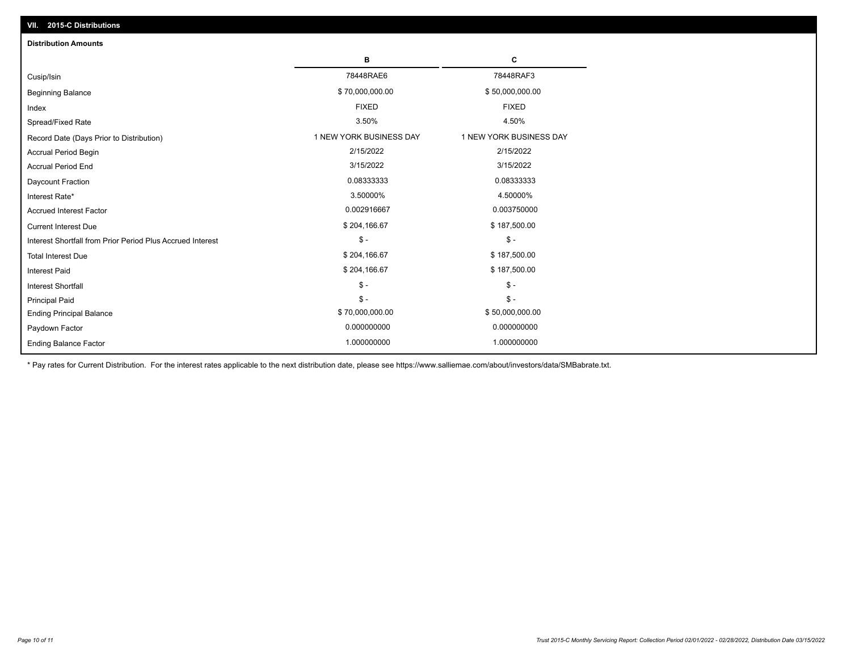| VII. 2015-C Distributions                                  |                         |                         |
|------------------------------------------------------------|-------------------------|-------------------------|
| <b>Distribution Amounts</b>                                |                         |                         |
|                                                            | в                       | С                       |
| Cusip/Isin                                                 | 78448RAE6               | 78448RAF3               |
| <b>Beginning Balance</b>                                   | \$70,000,000.00         | \$50,000,000.00         |
| Index                                                      | <b>FIXED</b>            | <b>FIXED</b>            |
| Spread/Fixed Rate                                          | 3.50%                   | 4.50%                   |
| Record Date (Days Prior to Distribution)                   | 1 NEW YORK BUSINESS DAY | 1 NEW YORK BUSINESS DAY |
| <b>Accrual Period Begin</b>                                | 2/15/2022               | 2/15/2022               |
| <b>Accrual Period End</b>                                  | 3/15/2022               | 3/15/2022               |
| Daycount Fraction                                          | 0.08333333              | 0.08333333              |
| Interest Rate*                                             | 3.50000%                | 4.50000%                |
| <b>Accrued Interest Factor</b>                             | 0.002916667             | 0.003750000             |
| <b>Current Interest Due</b>                                | \$204,166.67            | \$187,500.00            |
| Interest Shortfall from Prior Period Plus Accrued Interest | $\mathcal{S}$ -         | $\mathsf{\$}$ -         |
| <b>Total Interest Due</b>                                  | \$204,166.67            | \$187,500.00            |
| Interest Paid                                              | \$204,166.67            | \$187,500.00            |
| Interest Shortfall                                         | $$ -$                   | $\frac{1}{2}$           |
| <b>Principal Paid</b>                                      | $\mathsf{\$}$ -         | $$ -$                   |
| <b>Ending Principal Balance</b>                            | \$70,000,000.00         | \$50,000,000.00         |
| Paydown Factor                                             | 0.000000000             | 0.000000000             |
| <b>Ending Balance Factor</b>                               | 1.000000000             | 1.000000000             |

\* Pay rates for Current Distribution. For the interest rates applicable to the next distribution date, please see https://www.salliemae.com/about/investors/data/SMBabrate.txt.